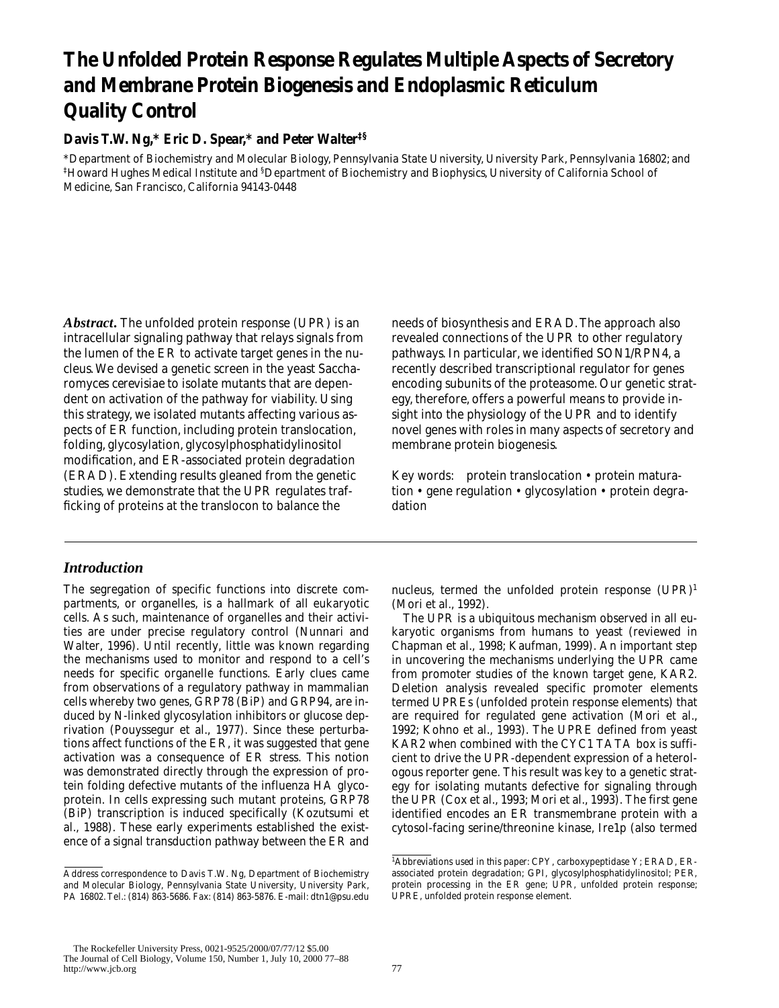# **The Unfolded Protein Response Regulates Multiple Aspects of Secretory and Membrane Protein Biogenesis and Endoplasmic Reticulum Quality Control**

# **Davis T.W. Ng,\* Eric D. Spear,\* and Peter Walter‡§**

\*Department of Biochemistry and Molecular Biology, Pennsylvania State University, University Park, Pennsylvania 16802; and  $^\ddag$ Howard Hughes Medical Institute and  $^\$,$ Department of Biochemistry and Biophysics, University of California School of Medicine, San Francisco, California 94143-0448

Abstract. The unfolded protein response (UPR) is an intracellular signaling pathway that relays signals from the lumen of the ER to activate target genes in the nucleus. We devised a genetic screen in the yeast *Saccharomyces cerevisiae* to isolate mutants that are dependent on activation of the pathway for viability. Using this strategy, we isolated mutants affecting various aspects of ER function, including protein translocation, folding, glycosylation, glycosylphosphatidylinositol modification, and ER-associated protein degradation (ERAD). Extending results gleaned from the genetic studies, we demonstrate that the UPR regulates trafficking of proteins at the translocon to balance the

*Introduction*

The segregation of specific functions into discrete compartments, or organelles, is a hallmark of all eukaryotic cells. As such, maintenance of organelles and their activities are under precise regulatory control (Nunnari and Walter, 1996). Until recently, little was known regarding the mechanisms used to monitor and respond to a cell's needs for specific organelle functions. Early clues came from observations of a regulatory pathway in mammalian cells whereby two genes, *GRP78* (BiP) and *GRP94*, are induced by N-linked glycosylation inhibitors or glucose deprivation (Pouyssegur et al., 1977). Since these perturbations affect functions of the ER, it was suggested that gene activation was a consequence of ER stress. This notion was demonstrated directly through the expression of protein folding defective mutants of the influenza HA glycoprotein. In cells expressing such mutant proteins, *GRP78* (BiP) transcription is induced specifically (Kozutsumi et al., 1988). These early experiments established the existence of a signal transduction pathway between the ER and

needs of biosynthesis and ERAD. The approach also revealed connections of the UPR to other regulatory pathways. In particular, we identified *SON1/RPN4*, a recently described transcriptional regulator for genes encoding subunits of the proteasome. Our genetic strategy, therefore, offers a powerful means to provide insight into the physiology of the UPR and to identify novel genes with roles in many aspects of secretory and membrane protein biogenesis.

Key words: protein translocation • protein maturation • gene regulation • glycosylation • protein degradation

nucleus, termed the unfolded protein response  $(UPR)^1$ (Mori et al., 1992).

The UPR is a ubiquitous mechanism observed in all eukaryotic organisms from humans to yeast (reviewed in Chapman et al., 1998; Kaufman, 1999). An important step in uncovering the mechanisms underlying the UPR came from promoter studies of the known target gene, *KAR2*. Deletion analysis revealed specific promoter elements termed UPREs (unfolded protein response elements) that are required for regulated gene activation (Mori et al., 1992; Kohno et al., 1993). The UPRE defined from yeast *KAR2* when combined with the *CYC1* TATA box is sufficient to drive the UPR-dependent expression of a heterologous reporter gene. This result was key to a genetic strategy for isolating mutants defective for signaling through the UPR (Cox et al., 1993; Mori et al., 1993). The first gene identified encodes an ER transmembrane protein with a cytosol-facing serine/threonine kinase, Ire1p (also termed

Address correspondence to Davis T.W. Ng, Department of Biochemistry and Molecular Biology, Pennsylvania State University, University Park, PA 16802.Tel.: (814) 863-5686. Fax: (814) 863-5876. E-mail: dtn1@psu.edu

<sup>&</sup>lt;sup>1</sup>Abbreviations used in this paper: CPY, carboxypeptidase Y; ERAD, ERassociated protein degradation; GPI, glycosylphosphatidylinositol; *PER*, protein processing in the ER gene; UPR, unfolded protein response; UPRE, unfolded protein response element.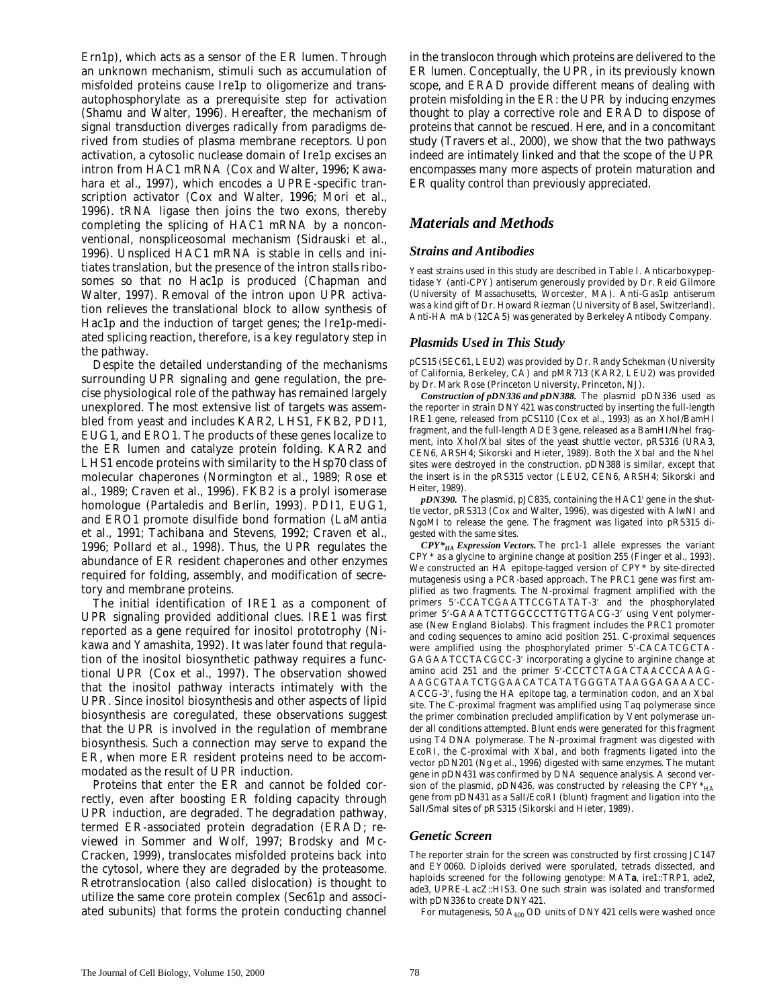Ern1p), which acts as a sensor of the ER lumen. Through an unknown mechanism, stimuli such as accumulation of misfolded proteins cause Ire1p to oligomerize and transautophosphorylate as a prerequisite step for activation (Shamu and Walter, 1996). Hereafter, the mechanism of signal transduction diverges radically from paradigms derived from studies of plasma membrane receptors. Upon activation, a cytosolic nuclease domain of Ire1p excises an intron from *HAC1* mRNA (Cox and Walter, 1996; Kawahara et al., 1997), which encodes a UPRE-specific transcription activator (Cox and Walter, 1996; Mori et al., 1996). tRNA ligase then joins the two exons, thereby completing the splicing of *HAC1* mRNA by a nonconventional, nonspliceosomal mechanism (Sidrauski et al., 1996). Unspliced *HAC1* mRNA is stable in cells and initiates translation, but the presence of the intron stalls ribosomes so that no Hac1p is produced (Chapman and Walter, 1997). Removal of the intron upon UPR activation relieves the translational block to allow synthesis of Hac1p and the induction of target genes; the Ire1p-mediated splicing reaction, therefore, is a key regulatory step in the pathway.

Despite the detailed understanding of the mechanisms surrounding UPR signaling and gene regulation, the precise physiological role of the pathway has remained largely unexplored. The most extensive list of targets was assembled from yeast and includes *KAR2*, *LHS1*, *FKB2*, *PDI1*, *EUG1*, and *ERO1*. The products of these genes localize to the ER lumen and catalyze protein folding. *KAR2* and *LHS1* encode proteins with similarity to the Hsp70 class of molecular chaperones (Normington et al., 1989; Rose et al., 1989; Craven et al., 1996). *FKB2* is a prolyl isomerase homologue (Partaledis and Berlin, 1993). *PDI1*, *EUG1*, and *ERO1* promote disulfide bond formation (LaMantia et al., 1991; Tachibana and Stevens, 1992; Craven et al., 1996; Pollard et al., 1998). Thus, the UPR regulates the abundance of ER resident chaperones and other enzymes required for folding, assembly, and modification of secretory and membrane proteins.

The initial identification of *IRE1* as a component of UPR signaling provided additional clues. *IRE1* was first reported as a gene required for inositol prototrophy (Nikawa and Yamashita, 1992). It was later found that regulation of the inositol biosynthetic pathway requires a functional UPR (Cox et al., 1997). The observation showed that the inositol pathway interacts intimately with the UPR. Since inositol biosynthesis and other aspects of lipid biosynthesis are coregulated, these observations suggest that the UPR is involved in the regulation of membrane biosynthesis. Such a connection may serve to expand the ER, when more ER resident proteins need to be accommodated as the result of UPR induction.

Proteins that enter the ER and cannot be folded correctly, even after boosting ER folding capacity through UPR induction, are degraded. The degradation pathway, termed ER-associated protein degradation (ERAD; reviewed in Sommer and Wolf, 1997; Brodsky and Mc-Cracken, 1999), translocates misfolded proteins back into the cytosol, where they are degraded by the proteasome. Retrotranslocation (also called dislocation) is thought to utilize the same core protein complex (Sec61p and associated subunits) that forms the protein conducting channel

in the translocon through which proteins are delivered to the ER lumen. Conceptually, the UPR, in its previously known scope, and ERAD provide different means of dealing with protein misfolding in the ER: the UPR by inducing enzymes thought to play a corrective role and ERAD to dispose of proteins that cannot be rescued. Here, and in a concomitant study (Travers et al., 2000), we show that the two pathways indeed are intimately linked and that the scope of the UPR encompasses many more aspects of protein maturation and ER quality control than previously appreciated.

# *Materials and Methods*

## *Strains and Antibodies*

Yeast strains used in this study are described in Table I. Anticarboxypeptidase Y (anti-CPY) antiserum generously provided by Dr. Reid Gilmore (University of Massachusetts, Worcester, MA). Anti-Gas1p antiserum was a kind gift of Dr. Howard Riezman (University of Basel, Switzerland). Anti-HA mAb (12CA5) was generated by Berkeley Antibody Company.

## *Plasmids Used in This Study*

pCS15 (*SEC61, LEU2*) was provided by Dr. Randy Schekman (University of California, Berkeley, CA) and pMR713 (*KAR2, LEU2*) was provided by Dr. Mark Rose (Princeton University, Princeton, NJ).

*Construction of pDN336 and pDN388.* The plasmid pDN336 used as the reporter in strain DNY421 was constructed by inserting the full-length *IRE1* gene, released from pCS110 (Cox et al., 1993) as an XhoI/BamHI fragment, and the full-length *ADE3* gene, released as a BamHI/NheI fragment, into XhoI/XbaI sites of the yeast shuttle vector, pRS316 (*URA3*, *CEN6*, *ARSH4*; Sikorski and Hieter, 1989). Both the XbaI and the NheI sites were destroyed in the construction. pDN388 is similar, except that the insert is in the pRS315 vector (*LEU2*, *CEN6*, *ARSH4*; Sikorski and Heiter, 1989).

*pDN390.* The plasmid, pJC835, containing the *HAC1i* gene in the shuttle vector, pRS313 (Cox and Walter, 1996), was digested with AlwNI and NgoMI to release the gene. The fragment was ligated into pRS315 digested with the same sites.

*CPY\*HA Expression Vectors.* The *prc1-1* allele expresses the variant CPY\* as a glycine to arginine change at position 255 (Finger et al., 1993). We constructed an HA epitope-tagged version of CPY\* by site-directed mutagenesis using a PCR-based approach. The *PRC1* gene was first amplified as two fragments. The N-proximal fragment amplified with the primers 5'-CCATCGAATTCCGTATAT-3' and the phosphorylated primer 5'-GAAATCTTGGCCCTTGTTGACG-3' using Vent polymerase (New England Biolabs). This fragment includes the *PRC1* promoter and coding sequences to amino acid position 251. C-proximal sequences were amplified using the phosphorylated primer 5'-CACATCGCTA-GAGAATCCTACGCC-3' incorporating a glycine to arginine change at amino acid 251 and the primer 5'-CCCTCTAGACTAACCCAAAG-AAGCGTAATCTGGAACATCATATGGGTATAAGGAGAAACC-ACCG-3', fusing the HA epitope tag, a termination codon, and an XbaI site. The C-proximal fragment was amplified using Taq polymerase since the primer combination precluded amplification by Vent polymerase under all conditions attempted. Blunt ends were generated for this fragment using T4 DNA polymerase. The N-proximal fragment was digested with EcoRI, the C-proximal with XbaI, and both fragments ligated into the vector pDN201 (Ng et al., 1996) digested with same enzymes. The mutant gene in pDN431 was confirmed by DNA sequence analysis. A second version of the plasmid, pDN436, was constructed by releasing the  $CPY^*_{HA}$ gene from pDN431 as a SalI/EcoRI (blunt) fragment and ligation into the SalI/SmaI sites of pRS315 (Sikorski and Hieter, 1989).

#### *Genetic Screen*

The reporter strain for the screen was constructed by first crossing JC147 and EY0060. Diploids derived were sporulated, tetrads dissected, and haploids screened for the following genotype: *MAT***a**, *ire1::TRP1*, *ade2*, *ade3*, *UPRE-LacZ::HIS3*. One such strain was isolated and transformed with pDN336 to create DNY421.

For mutagenesis, 50  $A_{600}$  OD units of DNY421 cells were washed once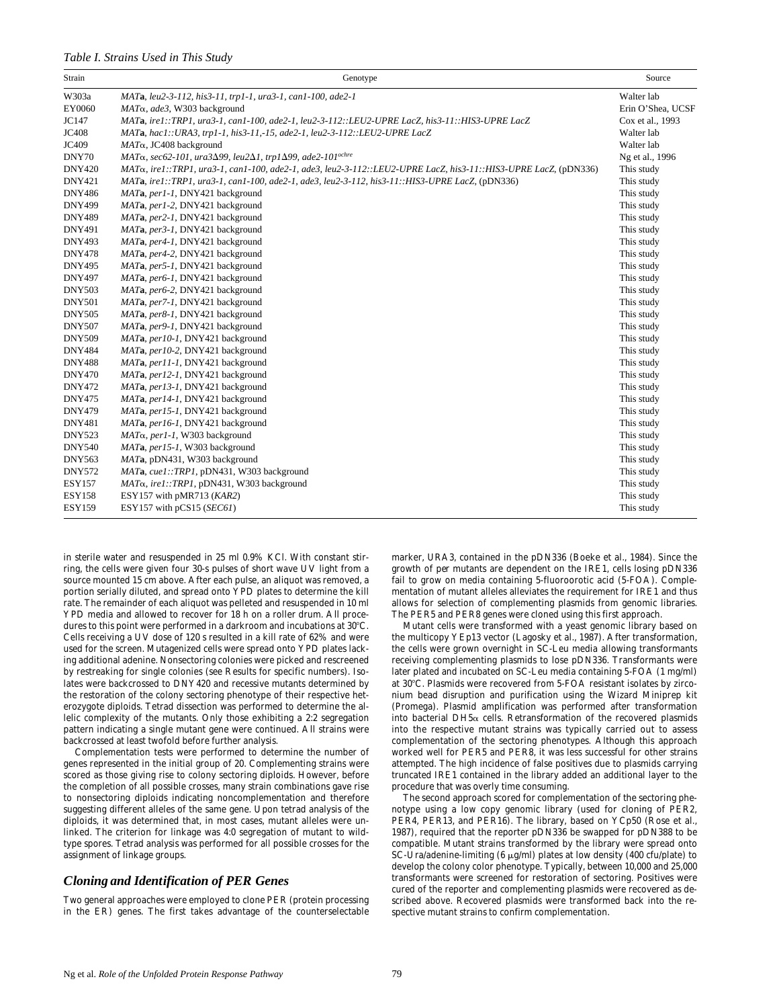#### *Table I. Strains Used in This Study*

| Strain        | Genotype                                                                                                        | Source            |
|---------------|-----------------------------------------------------------------------------------------------------------------|-------------------|
| W303a         | MATa, leu2-3-112, his3-11, trp1-1, ura3-1, can1-100, ade2-1                                                     | Walter lab        |
| EY0060        | MAT <sub>a</sub> , ade3, W303 background                                                                        | Erin O'Shea, UCSF |
| JC147         | MATa, ire1::TRP1, ura3-1, can1-100, ade2-1, leu2-3-112::LEU2-UPRE LacZ, his3-11::HIS3-UPRE LacZ                 | Cox et al., 1993  |
| <b>JC408</b>  | MATa, hac1::URA3, trp1-1, his3-11, -15, ade2-1, leu2-3-112::LEU2-UPRE LacZ                                      | Walter lab        |
| JC409         | $MAT\alpha$ , JC408 background                                                                                  | Walter lab        |
| DNY70         | $MAT\alpha$ , sec62-101, ura3 $\Delta$ 99, leu2 $\Delta$ 1, trp1 $\Delta$ 99, ade2-101 <sup>ochre</sup>         | Ng et al., 1996   |
| <b>DNY420</b> | MATo, ire1::TRP1, ura3-1, can1-100, ade2-1, ade3, leu2-3-112::LEU2-UPRE LacZ, his3-11::HIS3-UPRE LacZ, (pDN336) | This study        |
| <b>DNY421</b> | MATa, ire1::TRP1, ura3-1, can1-100, ade2-1, ade3, leu2-3-112, his3-11::HIS3-UPRE LacZ, (pDN336)                 | This study        |
| <b>DNY486</b> | MATa, per1-1, DNY421 background                                                                                 | This study        |
| <b>DNY499</b> | MATa, per1-2, DNY421 background                                                                                 | This study        |
| <b>DNY489</b> | MATa, per2-1, DNY421 background                                                                                 | This study        |
| <b>DNY491</b> | MATa, per3-1, DNY421 background                                                                                 | This study        |
| <b>DNY493</b> | MATa, per4-1, DNY421 background                                                                                 | This study        |
| <b>DNY478</b> | MATa, per4-2, DNY421 background                                                                                 | This study        |
| <b>DNY495</b> | MATa, per5-1, DNY421 background                                                                                 | This study        |
| <b>DNY497</b> | MATa, per6-1, DNY421 background                                                                                 | This study        |
| <b>DNY503</b> | MATa, per6-2, DNY421 background                                                                                 | This study        |
| <b>DNY501</b> | MATa, per7-1, DNY421 background                                                                                 | This study        |
| <b>DNY505</b> | MATa, per8-1, DNY421 background                                                                                 | This study        |
| <b>DNY507</b> | MATa, per9-1, DNY421 background                                                                                 | This study        |
| <b>DNY509</b> | MATa, per10-1, DNY421 background                                                                                | This study        |
| <b>DNY484</b> | MATa, per10-2, DNY421 background                                                                                | This study        |
| <b>DNY488</b> | MATa, per11-1, DNY421 background                                                                                | This study        |
| <b>DNY470</b> | MATa, per12-1, DNY421 background                                                                                | This study        |
| <b>DNY472</b> | MATa, per13-1, DNY421 background                                                                                | This study        |
| <b>DNY475</b> | MATa, per14-1, DNY421 background                                                                                | This study        |
| <b>DNY479</b> | MATa, per15-1, DNY421 background                                                                                | This study        |
| <b>DNY481</b> | MATa, per16-1, DNY421 background                                                                                | This study        |
| <b>DNY523</b> | $MAT\alpha$ , per1-1, W303 background                                                                           | This study        |
| <b>DNY540</b> | MATa, per15-1, W303 background                                                                                  | This study        |
| <b>DNY563</b> | MATa, pDN431, W303 background                                                                                   | This study        |
| <b>DNY572</b> | MATa, cuel::TRP1, pDN431, W303 background                                                                       | This study        |
| <b>ESY157</b> | MAT <sub>a</sub> , ire1::TRP1, pDN431, W303 background                                                          | This study        |
| <b>ESY158</b> | ESY157 with pMR713 (KAR2)                                                                                       | This study        |
| <b>ESY159</b> | ESY157 with pCS15 (SEC61)                                                                                       | This study        |

in sterile water and resuspended in 25 ml 0.9% KCl. With constant stirring, the cells were given four 30-s pulses of short wave UV light from a source mounted 15 cm above. After each pulse, an aliquot was removed, a portion serially diluted, and spread onto YPD plates to determine the kill rate. The remainder of each aliquot was pelleted and resuspended in 10 ml YPD media and allowed to recover for 18 h on a roller drum. All procedures to this point were performed in a darkroom and incubations at 30°C. Cells receiving a UV dose of 120 s resulted in a kill rate of 62% and were used for the screen. Mutagenized cells were spread onto YPD plates lacking additional adenine. Nonsectoring colonies were picked and rescreened by restreaking for single colonies (see Results for specific numbers). Isolates were backcrossed to DNY420 and recessive mutants determined by the restoration of the colony sectoring phenotype of their respective heterozygote diploids. Tetrad dissection was performed to determine the allelic complexity of the mutants. Only those exhibiting a 2:2 segregation pattern indicating a single mutant gene were continued. All strains were backcrossed at least twofold before further analysis.

Complementation tests were performed to determine the number of genes represented in the initial group of 20. Complementing strains were scored as those giving rise to colony sectoring diploids. However, before the completion of all possible crosses, many strain combinations gave rise to nonsectoring diploids indicating noncomplementation and therefore suggesting different alleles of the same gene. Upon tetrad analysis of the diploids, it was determined that, in most cases, mutant alleles were unlinked. The criterion for linkage was 4:0 segregation of mutant to wildtype spores. Tetrad analysis was performed for all possible crosses for the assignment of linkage groups.

## *Cloning and Identification of PER Genes*

Two general approaches were employed to clone *PER* (protein processing in the ER) genes. The first takes advantage of the counterselectable

marker, *URA3*, contained in the pDN336 (Boeke et al., 1984). Since the growth of *per* mutants are dependent on the *IRE1*, cells losing pDN336 fail to grow on media containing 5-fluoroorotic acid (5-FOA). Complementation of mutant alleles alleviates the requirement for *IRE1* and thus allows for selection of complementing plasmids from genomic libraries. The *PER5* and *PER8* genes were cloned using this first approach.

Mutant cells were transformed with a yeast genomic library based on the multicopy YEp13 vector (Lagosky et al., 1987). After transformation, the cells were grown overnight in SC-Leu media allowing transformants receiving complementing plasmids to lose pDN336. Transformants were later plated and incubated on SC-Leu media containing 5-FOA (1 mg/ml) at 30°C. Plasmids were recovered from 5-FOA resistant isolates by zirconium bead disruption and purification using the Wizard Miniprep kit (Promega). Plasmid amplification was performed after transformation into bacterial DH5a cells. Retransformation of the recovered plasmids into the respective mutant strains was typically carried out to assess complementation of the sectoring phenotypes. Although this approach worked well for *PER5* and *PER8*, it was less successful for other strains attempted. The high incidence of false positives due to plasmids carrying truncated *IRE1* contained in the library added an additional layer to the procedure that was overly time consuming.

The second approach scored for complementation of the sectoring phenotype using a low copy genomic library (used for cloning of *PER2*, *PER4*, *PER13*, and *PER16*). The library, based on YCp50 (Rose et al., 1987), required that the reporter pDN336 be swapped for pDN388 to be compatible. Mutant strains transformed by the library were spread onto SC-Ura/adenine-limiting (6  $\mu$ g/ml) plates at low density (400 cfu/plate) to develop the colony color phenotype. Typically, between 10,000 and 25,000 transformants were screened for restoration of sectoring. Positives were cured of the reporter and complementing plasmids were recovered as described above. Recovered plasmids were transformed back into the respective mutant strains to confirm complementation.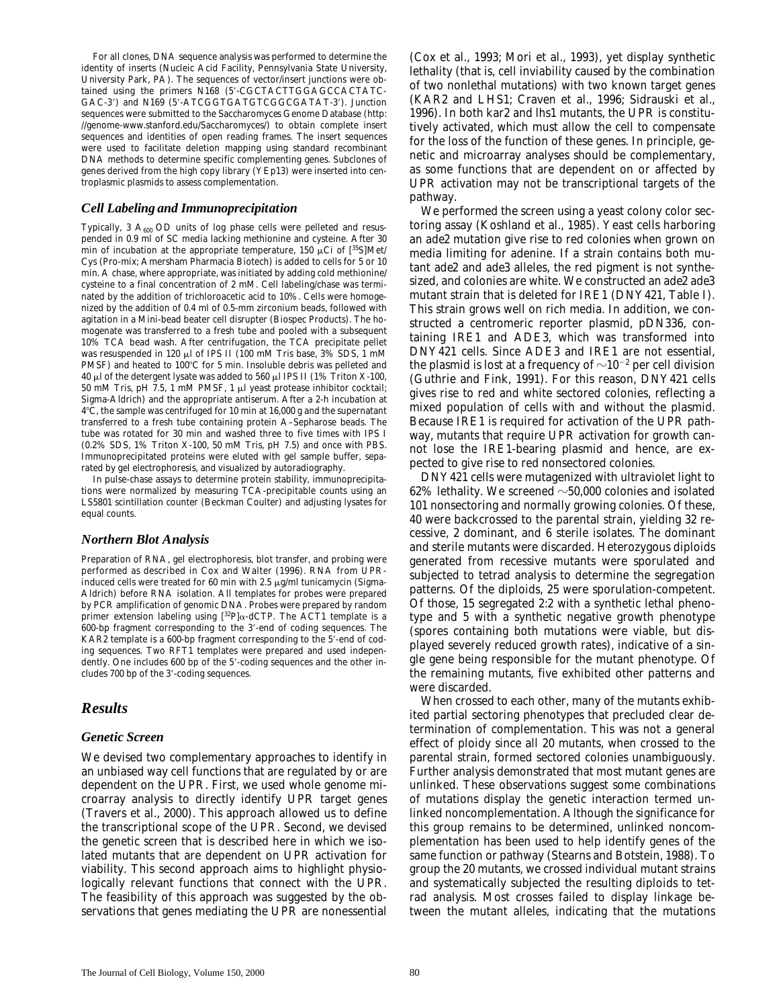For all clones, DNA sequence analysis was performed to determine the identity of inserts (Nucleic Acid Facility, Pennsylvania State University, University Park, PA). The sequences of vector/insert junctions were obtained using the primers N168 (5'-CGCTACTTGGAGCCACTATC-GAC-3') and N169 (5'-ATCGGTGATGTCGGCGATAT-3'). Junction sequences were submitted to the *Saccharomyces* Genome Database (http: //genome-www.stanford.edu/Saccharomyces/) to obtain complete insert sequences and identities of open reading frames. The insert sequences were used to facilitate deletion mapping using standard recombinant DNA methods to determine specific complementing genes. Subclones of genes derived from the high copy library (YEp13) were inserted into centroplasmic plasmids to assess complementation.

#### *Cell Labeling and Immunoprecipitation*

Typically, 3  $A_{600}$  OD units of log phase cells were pelleted and resuspended in 0.9 ml of SC media lacking methionine and cysteine. After 30 min of incubation at the appropriate temperature, 150  $\mu$ Ci of [<sup>35</sup>S]Met/ Cys (Pro-mix; Amersham Pharmacia Biotech) is added to cells for 5 or 10 min. A chase, where appropriate, was initiated by adding cold methionine/ cysteine to a final concentration of 2 mM. Cell labeling/chase was terminated by the addition of trichloroacetic acid to 10%. Cells were homogenized by the addition of 0.4 ml of 0.5-mm zirconium beads, followed with agitation in a Mini-bead beater cell disrupter (Biospec Products). The homogenate was transferred to a fresh tube and pooled with a subsequent 10% TCA bead wash. After centrifugation, the TCA precipitate pellet was resuspended in 120  $\mu$ l of IPS II (100 mM Tris base, 3% SDS, 1 mM PMSF) and heated to 100°C for 5 min. Insoluble debris was pelleted and 40  $\mu$ l of the detergent lysate was added to 560  $\mu$ l IPS II (1% Triton X-100, 50 mM Tris, pH 7.5, 1 mM PMSF, 1 ml yeast protease inhibitor cocktail; Sigma-Aldrich) and the appropriate antiserum. After a 2-h incubation at 48C, the sample was centrifuged for 10 min at 16,000 *g* and the supernatant transferred to a fresh tube containing protein A–Sepharose beads. The tube was rotated for 30 min and washed three to five times with IPS I (0.2% SDS, 1% Triton X-100, 50 mM Tris, pH 7.5) and once with PBS. Immunoprecipitated proteins were eluted with gel sample buffer, separated by gel electrophoresis, and visualized by autoradiography.

In pulse-chase assays to determine protein stability, immunoprecipitations were normalized by measuring TCA-precipitable counts using an LS5801 scintillation counter (Beckman Coulter) and adjusting lysates for equal counts.

#### *Northern Blot Analysis*

Preparation of RNA, gel electrophoresis, blot transfer, and probing were performed as described in Cox and Walter (1996). RNA from UPRinduced cells were treated for 60 min with 2.5  $\mu$ g/ml tunicamycin (Sigma-Aldrich) before RNA isolation. All templates for probes were prepared by PCR amplification of genomic DNA. Probes were prepared by random primer extension labeling using [32P]a-dCTP. The *ACT1* template is a  $600$ -bp fragment corresponding to the  $3'$ -end of coding sequences. The  $KAR2$  template is a 600-bp fragment corresponding to the  $5^7$ -end of coding sequences. Two *RFT1* templates were prepared and used independently. One includes 600 bp of the 5'-coding sequences and the other includes 700 bp of the 3'-coding sequences.

# *Results*

#### *Genetic Screen*

We devised two complementary approaches to identify in an unbiased way cell functions that are regulated by or are dependent on the UPR. First, we used whole genome microarray analysis to directly identify UPR target genes (Travers et al., 2000). This approach allowed us to define the transcriptional scope of the UPR. Second, we devised the genetic screen that is described here in which we isolated mutants that are dependent on UPR activation for viability. This second approach aims to highlight physiologically relevant functions that connect with the UPR. The feasibility of this approach was suggested by the observations that genes mediating the UPR are nonessential

(Cox et al., 1993; Mori et al., 1993), yet display synthetic lethality (that is, cell inviability caused by the combination of two nonlethal mutations) with two known target genes (*KAR2* and *LHS1*; Craven et al., 1996; Sidrauski et al., 1996). In both *kar2* and *lhs1* mutants, the UPR is constitutively activated, which must allow the cell to compensate for the loss of the function of these genes. In principle, genetic and microarray analyses should be complementary, as some functions that are dependent on or affected by UPR activation may not be transcriptional targets of the pathway.

We performed the screen using a yeast colony color sectoring assay (Koshland et al., 1985). Yeast cells harboring an *ade2* mutation give rise to red colonies when grown on media limiting for adenine. If a strain contains both mutant *ade2* and *ade3* alleles, the red pigment is not synthesized, and colonies are white. We constructed an *ade2 ade3* mutant strain that is deleted for *IRE1* (DNY421, Table I). This strain grows well on rich media. In addition, we constructed a centromeric reporter plasmid, pDN336, containing *IRE1* and *ADE3*, which was transformed into DNY421 cells. Since *ADE3* and *IRE1* are not essential, the plasmid is lost at a frequency of  ${\sim}10^{-2}$  per cell division (Guthrie and Fink, 1991). For this reason, DNY421 cells gives rise to red and white sectored colonies, reflecting a mixed population of cells with and without the plasmid. Because *IRE1* is required for activation of the UPR pathway, mutants that require UPR activation for growth cannot lose the *IRE1*-bearing plasmid and hence, are expected to give rise to red nonsectored colonies.

DNY421 cells were mutagenized with ultraviolet light to 62% lethality. We screened  $\sim$  50,000 colonies and isolated 101 nonsectoring and normally growing colonies. Of these, 40 were backcrossed to the parental strain, yielding 32 recessive, 2 dominant, and 6 sterile isolates. The dominant and sterile mutants were discarded. Heterozygous diploids generated from recessive mutants were sporulated and subjected to tetrad analysis to determine the segregation patterns. Of the diploids, 25 were sporulation-competent. Of those, 15 segregated 2:2 with a synthetic lethal phenotype and 5 with a synthetic negative growth phenotype (spores containing both mutations were viable, but displayed severely reduced growth rates), indicative of a single gene being responsible for the mutant phenotype. Of the remaining mutants, five exhibited other patterns and were discarded.

When crossed to each other, many of the mutants exhibited partial sectoring phenotypes that precluded clear determination of complementation. This was not a general effect of ploidy since all 20 mutants, when crossed to the parental strain, formed sectored colonies unambiguously. Further analysis demonstrated that most mutant genes are unlinked. These observations suggest some combinations of mutations display the genetic interaction termed unlinked noncomplementation. Although the significance for this group remains to be determined, unlinked noncomplementation has been used to help identify genes of the same function or pathway (Stearns and Botstein, 1988). To group the 20 mutants, we crossed individual mutant strains and systematically subjected the resulting diploids to tetrad analysis. Most crosses failed to display linkage between the mutant alleles, indicating that the mutations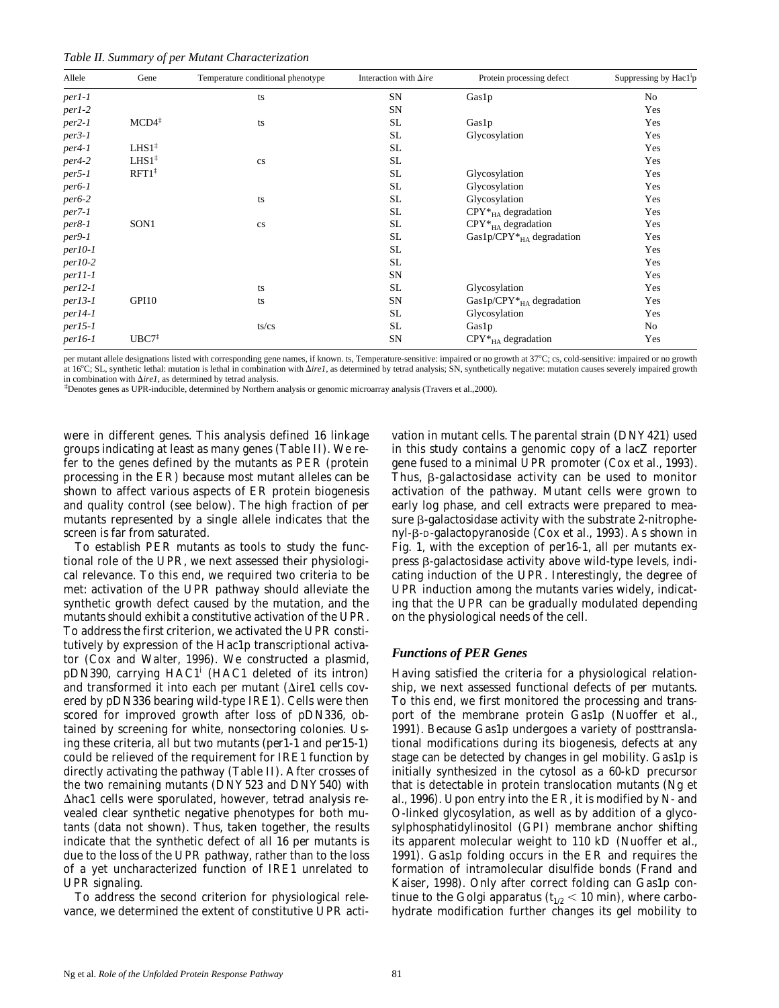|  |  |  |  | Table II. Summary of per Mutant Characterization |  |
|--|--|--|--|--------------------------------------------------|--|
|--|--|--|--|--------------------------------------------------|--|

| Allele    | Gene                                    | Temperature conditional phenotype | Interaction with $\Delta ire$ | Protein processing defect           | Suppressing by Hac1 <sup>i</sup> p |
|-----------|-----------------------------------------|-----------------------------------|-------------------------------|-------------------------------------|------------------------------------|
| $per1-1$  |                                         | ts                                | SN                            | Gas1p                               | No                                 |
| per1-2    |                                         |                                   | SN                            |                                     | Yes                                |
| $per2-1$  | $MCD4^{\ddagger}$                       | ts                                | <b>SL</b>                     | Gas1p                               | Yes                                |
| $per3-1$  |                                         |                                   | SL.                           | Glycosylation                       | Yes                                |
| $per4-1$  | LHS1 <sup>‡</sup>                       |                                   | <b>SL</b>                     |                                     | Yes                                |
| $per4-2$  | $LHS1^{\ddagger}$                       | cs                                | <b>SL</b>                     |                                     | Yes                                |
| $per5-1$  | $RFT1$ <sup><math>\ddagger</math></sup> |                                   | SL                            | Glycosylation                       | Yes                                |
| $per6-1$  |                                         |                                   | SL.                           | Glycosylation                       | Yes                                |
| $per6-2$  |                                         | ts                                | <b>SL</b>                     | Glycosylation                       | Yes                                |
| $per7-1$  |                                         |                                   | SL                            | $CPY*_{HA}$ degradation             | Yes                                |
| $per8-1$  | SON1                                    | cs                                | <b>SL</b>                     | $CPY*_{HA}$ degradation             | Yes                                |
| $per9-1$  |                                         |                                   | SL.                           | Gas1p/CPY $*_{HA}$ degradation      | Yes                                |
| $per10-1$ |                                         |                                   | <b>SL</b>                     |                                     | Yes                                |
| $per10-2$ |                                         |                                   | <b>SL</b>                     |                                     | Yes                                |
| $per11-1$ |                                         |                                   | SN                            |                                     | Yes                                |
| $per12-I$ |                                         | ts                                | <b>SL</b>                     | Glycosylation                       | Yes                                |
| $per13-1$ | GPI10                                   | ts                                | SN                            | Gas1p/CPY $*_{H\Delta}$ degradation | Yes                                |
| $per14-1$ |                                         |                                   | SL.                           | Glycosylation                       | Yes                                |
| $per15-1$ |                                         | ts/cs                             | <b>SL</b>                     | Gas1p                               | No                                 |
| $per16-1$ | UBC7 <sup>‡</sup>                       |                                   | SN                            | $CPY*_{HA}$ degradation             | Yes                                |

per mutant allele designations listed with corresponding gene names, if known. ts, Temperature-sensitive: impaired or no growth at 37°C; cs, cold-sensitive: impaired or no growth at 16°C; SL, synthetic lethal: mutation is lethal in combination with  $\Delta irel$ , as determined by tetrad analysis; SN, synthetically negative: mutation causes severely impaired growth in combination with  $\Delta ireI$ , as determined by tetrad analysis.

 $\beta$  penotes genes as UPR-inducible, determined by Northern analysis or genomic microarray analysis (Travers et al.,2000).

were in different genes. This analysis defined 16 linkage groups indicating at least as many genes (Table II). We refer to the genes defined by the mutants as *PER* (protein processing in the ER) because most mutant alleles can be shown to affect various aspects of ER protein biogenesis and quality control (see below). The high fraction of *per* mutants represented by a single allele indicates that the screen is far from saturated.

To establish *PER* mutants as tools to study the functional role of the UPR, we next assessed their physiological relevance. To this end, we required two criteria to be met: activation of the UPR pathway should alleviate the synthetic growth defect caused by the mutation, and the mutants should exhibit a constitutive activation of the UPR. To address the first criterion, we activated the UPR constitutively by expression of the Hac1p transcriptional activator (Cox and Walter, 1996). We constructed a plasmid, pDN390, carrying *HAC1i* (*HAC1* deleted of its intron) and transformed it into each *per* mutant  $(\Delta irel \text{ cells cov-}$ ered by pDN336 bearing wild-type *IRE1*). Cells were then scored for improved growth after loss of pDN336, obtained by screening for white, nonsectoring colonies. Using these criteria, all but two mutants (*per1-1* and *per15-1*) could be relieved of the requirement for *IRE1* function by directly activating the pathway (Table II). After crosses of the two remaining mutants (DNY523 and DNY540) with  $\Delta$ *hac1* cells were sporulated, however, tetrad analysis revealed clear synthetic negative phenotypes for both mutants (data not shown). Thus, taken together, the results indicate that the synthetic defect of all 16 *per* mutants is due to the loss of the UPR pathway, rather than to the loss of a yet uncharacterized function of *IRE1* unrelated to UPR signaling.

To address the second criterion for physiological relevance, we determined the extent of constitutive UPR activation in mutant cells. The parental strain (DNY421) used in this study contains a genomic copy of a *lacZ* reporter gene fused to a minimal UPR promoter (Cox et al., 1993). Thus,  $\beta$ -galactosidase activity can be used to monitor activation of the pathway. Mutant cells were grown to early log phase, and cell extracts were prepared to measure  $\beta$ -galactosidase activity with the substrate 2-nitrophenyl-b-D-galactopyranoside (Cox et al., 1993). As shown in Fig. 1, with the exception of *per16-1*, all *per* mutants express  $\beta$ -galactosidase activity above wild-type levels, indicating induction of the UPR. Interestingly, the degree of UPR induction among the mutants varies widely, indicating that the UPR can be gradually modulated depending on the physiological needs of the cell.

#### *Functions of PER Genes*

Having satisfied the criteria for a physiological relationship, we next assessed functional defects of *per* mutants. To this end, we first monitored the processing and transport of the membrane protein Gas1p (Nuoffer et al., 1991). Because Gas1p undergoes a variety of posttranslational modifications during its biogenesis, defects at any stage can be detected by changes in gel mobility. Gas1p is initially synthesized in the cytosol as a 60-kD precursor that is detectable in protein translocation mutants (Ng et al., 1996). Upon entry into the ER, it is modified by N- and O-linked glycosylation, as well as by addition of a glycosylphosphatidylinositol (GPI) membrane anchor shifting its apparent molecular weight to 110 kD (Nuoffer et al., 1991). Gas1p folding occurs in the ER and requires the formation of intramolecular disulfide bonds (Frand and Kaiser, 1998). Only after correct folding can Gas1p continue to the Golgi apparatus ( $t_{1/2}$  < 10 min), where carbohydrate modification further changes its gel mobility to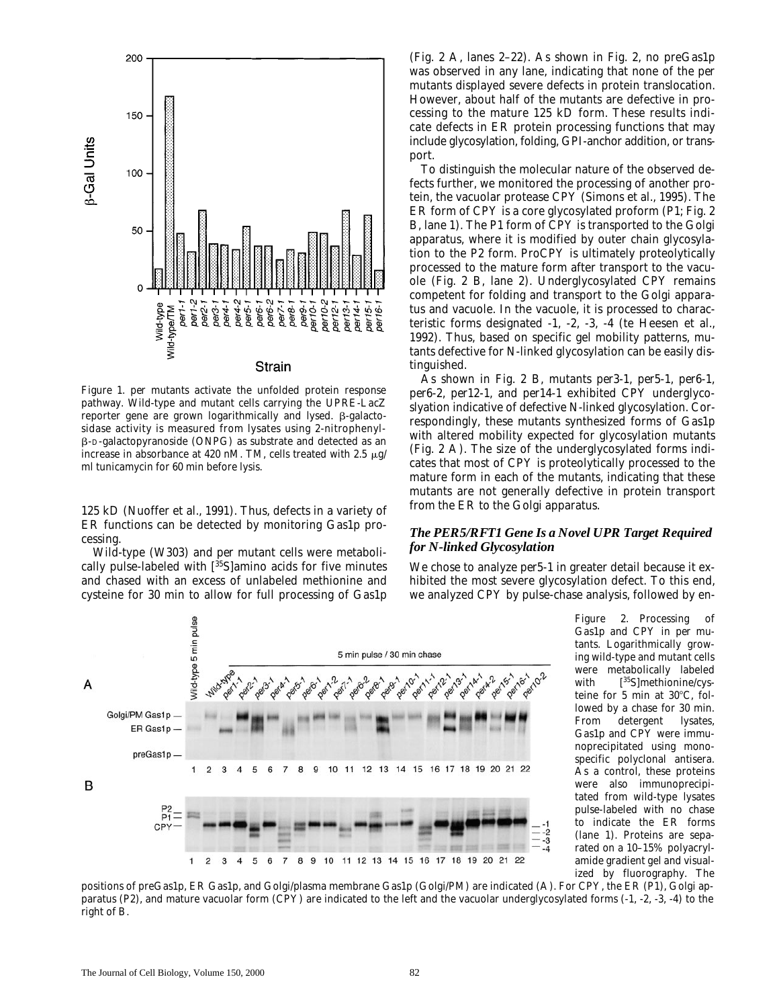

*Figure 1. per* mutants activate the unfolded protein response pathway. Wild-type and mutant cells carrying the *UPRE-LacZ* reporter gene are grown logarithmically and lysed.  $\beta$ -galactosidase activity is measured from lysates using 2-nitrophenyl- $\beta$ -D-galactopyranoside (ONPG) as substrate and detected as an increase in absorbance at 420 nM. TM, cells treated with 2.5  $\mu$ g/ ml tunicamycin for 60 min before lysis.

125 kD (Nuoffer et al., 1991). Thus, defects in a variety of ER functions can be detected by monitoring Gas1p processing.

Wild-type (W303) and *per* mutant cells were metabolically pulse-labeled with  $[35S]$ amino acids for five minutes and chased with an excess of unlabeled methionine and cysteine for 30 min to allow for full processing of Gas1p

(Fig. 2 A, lanes 2–22). As shown in Fig. 2, no preGas1p was observed in any lane, indicating that none of the *per* mutants displayed severe defects in protein translocation. However, about half of the mutants are defective in processing to the mature 125 kD form. These results indicate defects in ER protein processing functions that may include glycosylation, folding, GPI-anchor addition, or transport.

To distinguish the molecular nature of the observed defects further, we monitored the processing of another protein, the vacuolar protease CPY (Simons et al., 1995). The ER form of CPY is a core glycosylated proform (P1; Fig. 2 B, lane 1). The P1 form of CPY is transported to the Golgi apparatus, where it is modified by outer chain glycosylation to the P2 form. ProCPY is ultimately proteolytically processed to the mature form after transport to the vacuole (Fig. 2 B, lane 2). Underglycosylated CPY remains competent for folding and transport to the Golgi apparatus and vacuole. In the vacuole, it is processed to characteristic forms designated -1, -2, -3, -4 (te Heesen et al., 1992). Thus, based on specific gel mobility patterns, mutants defective for N-linked glycosylation can be easily distinguished.

As shown in Fig. 2 B, mutants *per3-1*, *per5-1*, *per6-1*, *per6-2*, *per12-1*, and *per14-1* exhibited CPY underglycoslyation indicative of defective N-linked glycosylation. Correspondingly, these mutants synthesized forms of Gas1p with altered mobility expected for glycosylation mutants (Fig. 2 A). The size of the underglycosylated forms indicates that most of CPY is proteolytically processed to the mature form in each of the mutants, indicating that these mutants are not generally defective in protein transport from the ER to the Golgi apparatus.

#### *The PER5/RFT1 Gene Is a Novel UPR Target Required for N-linked Glycosylation*

We chose to analyze *per5-1* in greater detail because it exhibited the most severe glycosylation defect. To this end, we analyzed CPY by pulse-chase analysis, followed by en-



*Figure 2.* Processing of Gas1p and CPY in *per* mutants. Logarithmically growing wild-type and mutant cells were metabolically labeled with  $[35S]$ methionine/cysteine for 5 min at  $30^{\circ}$ C, followed by a chase for 30 min. From detergent lysates, Gas1p and CPY were immunoprecipitated using monospecific polyclonal antisera. As a control, these proteins were also immunoprecipitated from wild-type lysates pulse-labeled with no chase to indicate the ER forms (lane 1). Proteins are separated on a 10–15% polyacrylamide gradient gel and visualized by fluorography. The

positions of preGas1p, ER Gas1p, and Golgi/plasma membrane Gas1p (Golgi/PM) are indicated (A). For CPY, the ER (P1), Golgi apparatus (P2), and mature vacuolar form (CPY) are indicated to the left and the vacuolar underglycosylated forms (-1, -2, -3, -4) to the right of B.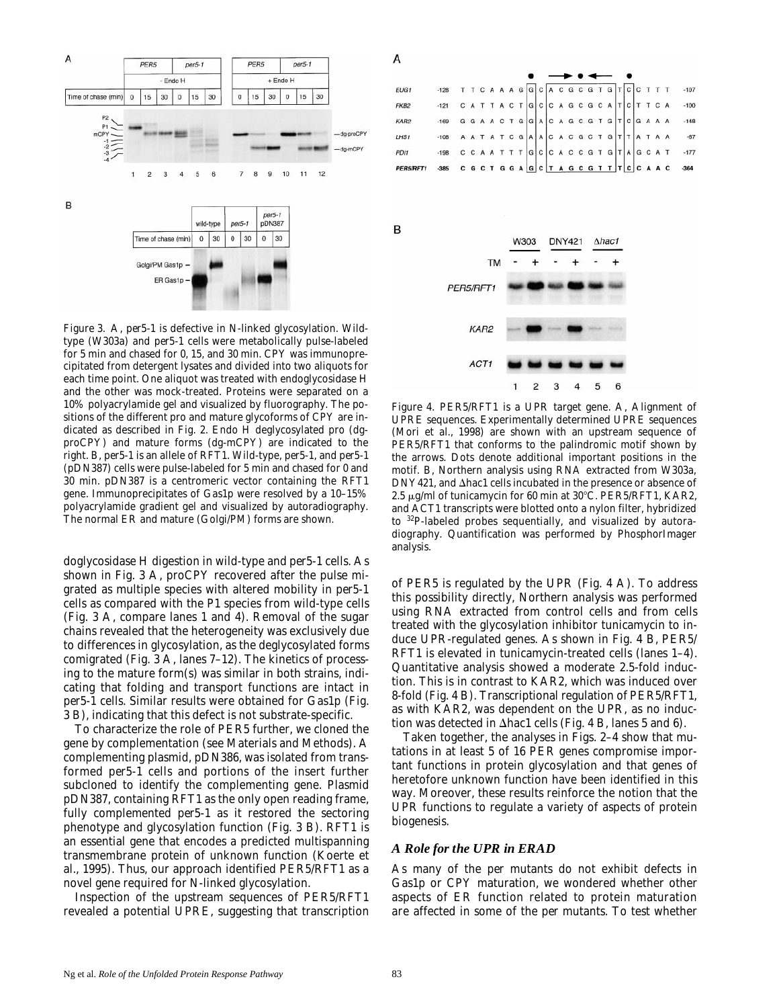

*Figure 3.* A, *per5-1* is defective in N-linked glycosylation. Wildtype (W303a) and *per5-1* cells were metabolically pulse-labeled for 5 min and chased for 0, 15, and 30 min. CPY was immunoprecipitated from detergent lysates and divided into two aliquots for each time point. One aliquot was treated with endoglycosidase H and the other was mock-treated. Proteins were separated on a 10% polyacrylamide gel and visualized by fluorography. The positions of the different pro and mature glycoforms of CPY are indicated as described in Fig. 2. Endo H deglycosylated pro (dgproCPY) and mature forms (dg-mCPY) are indicated to the right. B, *per5-1* is an allele of *RFT1*. Wild-type, *per5-1*, and *per5-1* (pDN387) cells were pulse-labeled for 5 min and chased for 0 and 30 min. pDN387 is a centromeric vector containing the *RFT1* gene. Immunoprecipitates of Gas1p were resolved by a 10–15% polyacrylamide gradient gel and visualized by autoradiography. The normal ER and mature (Golgi/PM) forms are shown.

doglycosidase H digestion in wild-type and *per5-1* cells. As shown in Fig. 3 A, proCPY recovered after the pulse migrated as multiple species with altered mobility in *per5-1* cells as compared with the P1 species from wild-type cells (Fig. 3 A, compare lanes 1 and 4). Removal of the sugar chains revealed that the heterogeneity was exclusively due to differences in glycosylation, as the deglycosylated forms comigrated (Fig. 3 A, lanes 7–12). The kinetics of processing to the mature form(s) was similar in both strains, indicating that folding and transport functions are intact in *per5-1* cells. Similar results were obtained for Gas1p (Fig. 3 B), indicating that this defect is not substrate-specific.

To characterize the role of *PER5* further, we cloned the gene by complementation (see Materials and Methods). A complementing plasmid, pDN386, was isolated from transformed *per5-1* cells and portions of the insert further subcloned to identify the complementing gene. Plasmid pDN387, containing *RFT1* as the only open reading frame, fully complemented *per5-1* as it restored the sectoring phenotype and glycosylation function (Fig. 3 B). *RFT1* is an essential gene that encodes a predicted multispanning transmembrane protein of unknown function (Koerte et al., 1995). Thus, our approach identified *PER5/RFT1* as a novel gene required for N-linked glycosylation.

Inspection of the upstream sequences of *PER5/RFT1* revealed a potential UPRE, suggesting that transcription



*Figure 4. PER5/RFT1* is a UPR target gene. A, Alignment of UPRE sequences. Experimentally determined UPRE sequences (Mori et al., 1998) are shown with an upstream sequence of *PER5/RFT1* that conforms to the palindromic motif shown by the arrows. Dots denote additional important positions in the motif. B, Northern analysis using RNA extracted from W303a, DNY421, and  $\Delta$ *hac1* cells incubated in the presence or absence of 2.5 mg/ml of tunicamycin for 60 min at 308C. *PER5/RFT1*, *KAR2*, and *ACT1* transcripts were blotted onto a nylon filter, hybridized to 32P-labeled probes sequentially, and visualized by autoradiography. Quantification was performed by PhosphorImager analysis.

of *PER5* is regulated by the UPR (Fig. 4 A). To address this possibility directly, Northern analysis was performed using RNA extracted from control cells and from cells treated with the glycosylation inhibitor tunicamycin to induce UPR-regulated genes. As shown in Fig. 4 B, *PER5/ RFT1* is elevated in tunicamycin-treated cells (lanes 1–4). Quantitative analysis showed a moderate 2.5-fold induction. This is in contrast to *KAR2*, which was induced over 8-fold (Fig. 4 B). Transcriptional regulation of *PER5/RFT1*, as with *KAR2*, was dependent on the UPR, as no induction was detected in  $\Delta$ *hac1* cells (Fig. 4 B, lanes 5 and 6).

Taken together, the analyses in Figs. 2–4 show that mutations in at least 5 of 16 *PER* genes compromise important functions in protein glycosylation and that genes of heretofore unknown function have been identified in this way. Moreover, these results reinforce the notion that the UPR functions to regulate a variety of aspects of protein biogenesis.

#### *A Role for the UPR in ERAD*

As many of the *per* mutants do not exhibit defects in Gas1p or CPY maturation, we wondered whether other aspects of ER function related to protein maturation are affected in some of the *per* mutants. To test whether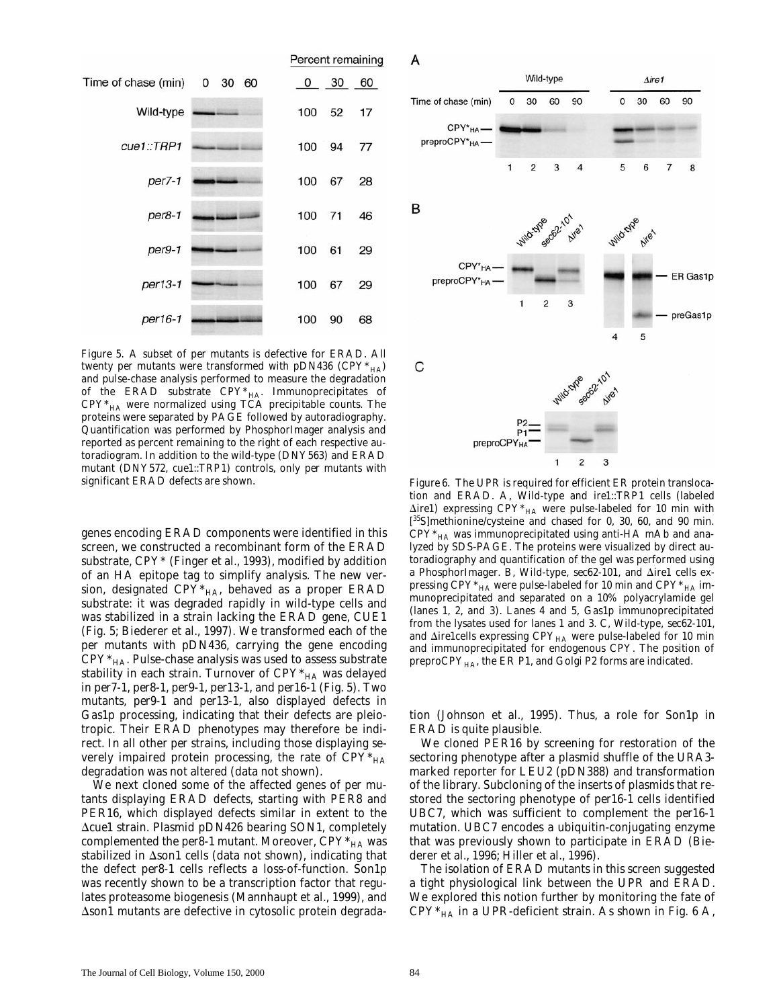

*Figure 5.* A subset of *per* mutants is defective for ERAD. All twenty *per* mutants were transformed with pDN436 (CPY $*_{HA}$ ) and pulse-chase analysis performed to measure the degradation of the ERAD substrate  $CPY^*_{HA}$ . Immunoprecipitates of  $CPY*_{HA}$  were normalized using TCA precipitable counts. The proteins were separated by PAGE followed by autoradiography. Quantification was performed by PhosphorImager analysis and reported as percent remaining to the right of each respective autoradiogram. In addition to the wild-type (DNY563) and ERAD mutant (DNY572, *cue1::TRP1*) controls, only *per* mutants with

genes encoding ERAD components were identified in this screen, we constructed a recombinant form of the ERAD substrate, CPY\* (Finger et al., 1993), modified by addition of an HA epitope tag to simplify analysis. The new version, designated  $CPY*_{HA}$ , behaved as a proper ERAD substrate: it was degraded rapidly in wild-type cells and was stabilized in a strain lacking the ERAD gene, *CUE1* (Fig. 5; Biederer et al., 1997). We transformed each of the *per* mutants with pDN436, carrying the gene encoding  $CPY^*_{HA}$ . Pulse-chase analysis was used to assess substrate stability in each strain. Turnover of  $CPY^*_{HA}$  was delayed in *per7-1*, *per8-1*, *per9-1*, *per13-1*, and *per16-1* (Fig. 5). Two mutants, *per9-1* and *per13-1*, also displayed defects in Gas1p processing, indicating that their defects are pleiotropic. Their ERAD phenotypes may therefore be indirect. In all other *per* strains, including those displaying severely impaired protein processing, the rate of  $CPY^*_{HA}$ degradation was not altered (data not shown).

We next cloned some of the affected genes of *per* mutants displaying ERAD defects, starting with *PER8* and *PER16*, which displayed defects similar in extent to the D*cue1* strain. Plasmid pDN426 bearing *SON1*, completely complemented the *per8-1* mutant. Moreover,  $CPY^*_{HA}$  was stabilized in  $\Delta$ *son1* cells (data not shown), indicating that the defect *per8-1* cells reflects a loss-of-function. Son1p was recently shown to be a transcription factor that regulates proteasome biogenesis (Mannhaupt et al., 1999), and  $\Delta$ *son1* mutants are defective in cytosolic protein degradaА

![](_page_7_Figure_5.jpeg)

Figure 6. The UPR is required for efficient ER protein translocation and ERAD. A, Wild-type and *ire1::TRP1* cells (labeled  $\Delta$ *ire1*) expressing CPY<sup>\*</sup><sub>HA</sub> were pulse-labeled for 10 min with [ 35S]methionine/cysteine and chased for 0, 30, 60, and 90 min.  $\mathrm{CPY*}_{\mathrm{HA}}$  was immunoprecipitated using anti-HA mAb and analyzed by SDS-PAGE. The proteins were visualized by direct autoradiography and quantification of the gel was performed using a PhosphorImager. B, Wild-type,  $sec62-101$ , and  $\triangle$ *ire1* cells expressing CPY $*_{HA}$  were pulse-labeled for 10 min and CPY $*_{HA}$  immunoprecipitated and separated on a 10% polyacrylamide gel (lanes 1, 2, and 3). Lanes 4 and 5, Gas1p immunoprecipitated from the lysates used for lanes 1 and 3. C, Wild-type, *sec62-101*, and  $\Delta$ *ire1*cells expressing CPY<sub>HA</sub> were pulse-labeled for 10 min and immunoprecipitated for endogenous CPY. The position of preproCPY<sub>HA</sub>, the ER P1, and Golgi P2 forms are indicated.

tion (Johnson et al., 1995). Thus, a role for Son1p in ERAD is quite plausible.

We cloned *PER16* by screening for restoration of the sectoring phenotype after a plasmid shuffle of the *URA3* marked reporter for *LEU2* (pDN388) and transformation of the library. Subcloning of the inserts of plasmids that restored the sectoring phenotype of *per16-1* cells identified *UBC7*, which was sufficient to complement the *per16-1* mutation. *UBC7* encodes a ubiquitin-conjugating enzyme that was previously shown to participate in ERAD (Biederer et al., 1996; Hiller et al., 1996).

The isolation of ERAD mutants in this screen suggested a tight physiological link between the UPR and ERAD. We explored this notion further by monitoring the fate of  $CPY^*_{HA}$  in a UPR-deficient strain. As shown in Fig. 6 A,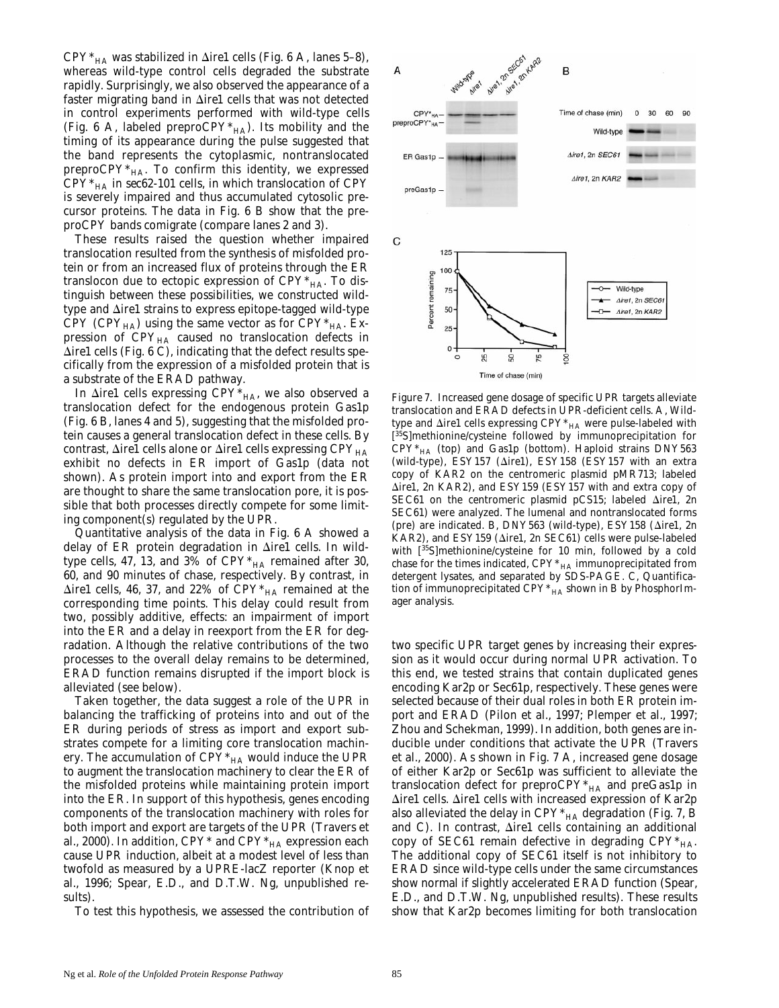$CPY^*$ <sub>HA</sub> was stabilized in  $\Delta$ *ire1* cells (Fig. 6 A, lanes 5–8), whereas wild-type control cells degraded the substrate rapidly. Surprisingly, we also observed the appearance of a faster migrating band in  $\Delta$ *ire1* cells that was not detected in control experiments performed with wild-type cells (Fig. 6 A, labeled preproCPY $*_{HA}$ ). Its mobility and the timing of its appearance during the pulse suggested that the band represents the cytoplasmic, nontranslocated preproCPY $*_{HA}$ . To confirm this identity, we expressed  $CPY^*_{HA}$  in *sec62-101* cells, in which translocation of CPY is severely impaired and thus accumulated cytosolic precursor proteins. The data in Fig. 6 B show that the preproCPY bands comigrate (compare lanes 2 and 3).

These results raised the question whether impaired translocation resulted from the synthesis of misfolded protein or from an increased flux of proteins through the ER translocon due to ectopic expression of  $CPY^*_{HA}$ . To distinguish between these possibilities, we constructed wildtype and  $\Delta$ *ire1* strains to express epitope-tagged wild-type CPY (CPY $_{HA}$ ) using the same vector as for CPY $*_{HA}$ . Expression of  $CPY_{HA}$  caused no translocation defects in  $\Delta$ *ire1* cells (Fig. 6 C), indicating that the defect results specifically from the expression of a misfolded protein that is a substrate of the ERAD pathway.

In  $\Delta$ *ire1* cells expressing CPY<sup>\*</sup><sub>HA</sub>, we also observed a translocation defect for the endogenous protein Gas1p (Fig. 6 B, lanes 4 and 5), suggesting that the misfolded protein causes a general translocation defect in these cells. By contrast,  $\Delta$ *ire1* cells alone or  $\Delta$ *ire1* cells expressing CPY<sub>HA</sub> exhibit no defects in ER import of Gas1p (data not shown). As protein import into and export from the ER are thought to share the same translocation pore, it is possible that both processes directly compete for some limiting component(s) regulated by the UPR.

Quantitative analysis of the data in Fig. 6 A showed a delay of ER protein degradation in D*ire1* cells. In wildtype cells, 47, 13, and 3% of  $CPY^*_{HA}$  remained after 30, 60, and 90 minutes of chase, respectively. By contrast, in  $\Delta$ *ire1* cells, 46, 37, and 22% of CPY<sup>\*</sup><sub>HA</sub> remained at the corresponding time points. This delay could result from two, possibly additive, effects: an impairment of import into the ER and a delay in reexport from the ER for degradation. Although the relative contributions of the two processes to the overall delay remains to be determined, ERAD function remains disrupted if the import block is alleviated (see below).

Taken together, the data suggest a role of the UPR in balancing the trafficking of proteins into and out of the ER during periods of stress as import and export substrates compete for a limiting core translocation machinery. The accumulation of  $CPY^*_{HA}$  would induce the UPR to augment the translocation machinery to clear the ER of the misfolded proteins while maintaining protein import into the ER. In support of this hypothesis, genes encoding components of the translocation machinery with roles for both import and export are targets of the UPR (Travers et al., 2000). In addition,  $CPY^*$  and  $CPY^*_{HA}$  expression each cause UPR induction, albeit at a modest level of less than twofold as measured by a *UPRE-lacZ* reporter (Knop et al., 1996; Spear, E.D., and D.T.W. Ng, unpublished results).

To test this hypothesis, we assessed the contribution of

![](_page_8_Figure_6.jpeg)

*Figure 7.* Increased gene dosage of specific UPR targets alleviate translocation and ERAD defects in UPR-deficient cells. A, Wildtype and  $\Delta$ *ire1* cells expressing CPY<sup>\*</sup><sub>HA</sub> were pulse-labeled with [<sup>35</sup>S]methionine/cysteine followed by immunoprecipitation for  $CPY^*_{HA}$  (top) and Gas1p (bottom). Haploid strains DNY563 (wild-type), ESY157 (Δire1), ESY158 (ESY157 with an extra copy of *KAR2* on the centromeric plasmid pMR713; labeled  $\triangle$ *ire1*, 2n *KAR2*), and ESY159 (ESY157 with and extra copy of *SEC61* on the centromeric plasmid pCS15; labeled  $\Delta$ *ire1*, 2n *SEC61*) were analyzed. The lumenal and nontranslocated forms (pre) are indicated. B, DNY563 (wild-type), ESY158 ( $\Delta$ ire1, 2n *KAR2*), and ESY159 (*Δire1*, 2n *SEC61*) cells were pulse-labeled with [<sup>35</sup>S]methionine/cysteine for 10 min, followed by a cold chase for the times indicated,  $CPY^*_{HA}$  immunoprecipitated from detergent lysates, and separated by SDS-PAGE. C, Quantification of immunoprecipitated  $CPY^*_{HA}$  shown in B by PhosphorImager analysis.

two specific UPR target genes by increasing their expression as it would occur during normal UPR activation. To this end, we tested strains that contain duplicated genes encoding Kar2p or Sec61p, respectively. These genes were selected because of their dual roles in both ER protein import and ERAD (Pilon et al., 1997; Plemper et al., 1997; Zhou and Schekman, 1999). In addition, both genes are inducible under conditions that activate the UPR (Travers et al., 2000). As shown in Fig. 7 A, increased gene dosage of either Kar2p or Sec61p was sufficient to alleviate the translocation defect for preproCPY $*_{HA}$  and preGas1p in D*ire1* cells. D*ire1* cells with increased expression of Kar2p also alleviated the delay in  $CPY^*_{HA}$  degradation (Fig. 7, B and C). In contrast,  $\Delta ire1$  cells containing an additional copy of *SEC61* remain defective in degrading  $CPY^*_{HA}$ . The additional copy of *SEC61* itself is not inhibitory to ERAD since wild-type cells under the same circumstances show normal if slightly accelerated ERAD function (Spear, E.D., and D.T.W. Ng, unpublished results). These results show that Kar2p becomes limiting for both translocation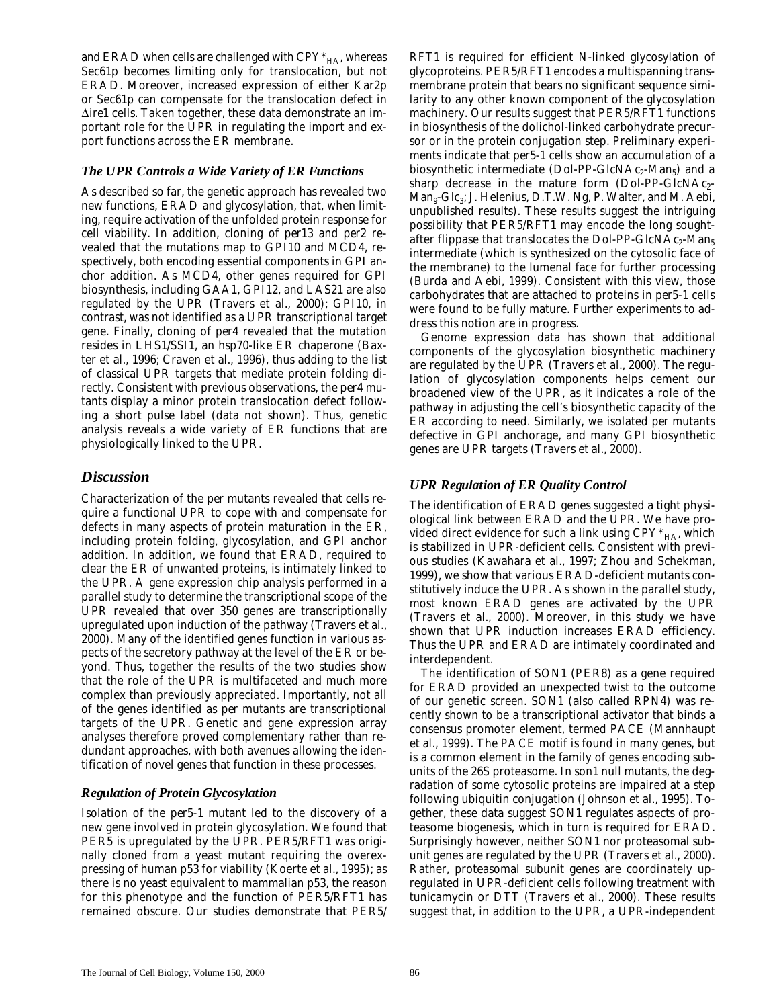and ERAD when cells are challenged with  $CPY^*_{HA}$ , whereas Sec61p becomes limiting only for translocation, but not ERAD. Moreover, increased expression of either Kar2p or Sec61p can compensate for the translocation defect in  $\Delta$ *ire1* cells. Taken together, these data demonstrate an important role for the UPR in regulating the import and export functions across the ER membrane.

# *The UPR Controls a Wide Variety of ER Functions*

As described so far, the genetic approach has revealed two new functions, ERAD and glycosylation, that, when limiting, require activation of the unfolded protein response for cell viability. In addition, cloning of *per13* and *per2* revealed that the mutations map to *GPI10* and *MCD4*, respectively, both encoding essential components in GPI anchor addition. As *MCD4*, other genes required for GPI biosynthesis, including *GAA1*, *GPI12*, and *LAS21* are also regulated by the UPR (Travers et al., 2000); *GPI10*, in contrast, was not identified as a UPR transcriptional target gene. Finally, cloning of *per4* revealed that the mutation resides in *LHS1/SSI1*, an hsp70-like ER chaperone (Baxter et al., 1996; Craven et al., 1996), thus adding to the list of classical UPR targets that mediate protein folding directly. Consistent with previous observations, the *per4* mutants display a minor protein translocation defect following a short pulse label (data not shown). Thus, genetic analysis reveals a wide variety of ER functions that are physiologically linked to the UPR.

# *Discussion*

Characterization of the *per* mutants revealed that cells require a functional UPR to cope with and compensate for defects in many aspects of protein maturation in the ER, including protein folding, glycosylation, and GPI anchor addition. In addition, we found that ERAD, required to clear the ER of unwanted proteins, is intimately linked to the UPR. A gene expression chip analysis performed in a parallel study to determine the transcriptional scope of the UPR revealed that over 350 genes are transcriptionally upregulated upon induction of the pathway (Travers et al., 2000). Many of the identified genes function in various aspects of the secretory pathway at the level of the ER or beyond. Thus, together the results of the two studies show that the role of the UPR is multifaceted and much more complex than previously appreciated. Importantly, not all of the genes identified as *per* mutants are transcriptional targets of the UPR. Genetic and gene expression array analyses therefore proved complementary rather than redundant approaches, with both avenues allowing the identification of novel genes that function in these processes.

# *Regulation of Protein Glycosylation*

Isolation of the *per5-1* mutant led to the discovery of a new gene involved in protein glycosylation. We found that *PER5* is upregulated by the UPR. *PER5/RFT1* was originally cloned from a yeast mutant requiring the overexpressing of human p53 for viability (Koerte et al., 1995); as there is no yeast equivalent to mammalian p53, the reason for this phenotype and the function of *PER5/RFT1* has remained obscure. Our studies demonstrate that *PER5/*

*RFT1* is required for efficient N-linked glycosylation of glycoproteins. *PER5/RFT1* encodes a multispanning transmembrane protein that bears no significant sequence similarity to any other known component of the glycosylation machinery. Our results suggest that *PER5/RFT1* functions in biosynthesis of the dolichol-linked carbohydrate precursor or in the protein conjugation step. Preliminary experiments indicate that *per5-1* cells show an accumulation of a biosynthetic intermediate (Dol-PP-GlcNAc<sub>2</sub>-Man<sub>5</sub>) and a sharp decrease in the mature form (Dol-PP-GlcNAc<sub>2</sub>- $Man_{9}$ -Glc<sub>3</sub>; J. Helenius, D.T.W. Ng, P. Walter, and M. Aebi, unpublished results). These results suggest the intriguing possibility that *PER5/RFT1* may encode the long soughtafter flippase that translocates the Dol-PP-GlcNAc<sub>2</sub>-Man<sub>5</sub> intermediate (which is synthesized on the cytosolic face of the membrane) to the lumenal face for further processing (Burda and Aebi, 1999). Consistent with this view, those carbohydrates that are attached to proteins in *per5-1* cells were found to be fully mature. Further experiments to address this notion are in progress.

Genome expression data has shown that additional components of the glycosylation biosynthetic machinery are regulated by the UPR (Travers et al., 2000). The regulation of glycosylation components helps cement our broadened view of the UPR, as it indicates a role of the pathway in adjusting the cell's biosynthetic capacity of the ER according to need. Similarly, we isolated *per* mutants defective in GPI anchorage, and many GPI biosynthetic genes are UPR targets (Travers et al., 2000).

# *UPR Regulation of ER Quality Control*

The identification of ERAD genes suggested a tight physiological link between ERAD and the UPR. We have provided direct evidence for such a link using  $CPY^*_{HA}$ , which is stabilized in UPR-deficient cells. Consistent with previous studies (Kawahara et al., 1997; Zhou and Schekman, 1999), we show that various ERAD-deficient mutants constitutively induce the UPR. As shown in the parallel study, most known ERAD genes are activated by the UPR (Travers et al., 2000). Moreover, in this study we have shown that UPR induction increases ERAD efficiency. Thus the UPR and ERAD are intimately coordinated and interdependent.

The identification of *SON1* (*PER8*) as a gene required for ERAD provided an unexpected twist to the outcome of our genetic screen. *SON1* (also called *RPN4*) was recently shown to be a transcriptional activator that binds a consensus promoter element, termed PACE (Mannhaupt et al., 1999). The PACE motif is found in many genes, but is a common element in the family of genes encoding subunits of the 26S proteasome. In *son1* null mutants, the degradation of some cytosolic proteins are impaired at a step following ubiquitin conjugation (Johnson et al., 1995). Together, these data suggest *SON1* regulates aspects of proteasome biogenesis, which in turn is required for ERAD. Surprisingly however, neither *SON1* nor proteasomal subunit genes are regulated by the UPR (Travers et al., 2000). Rather, proteasomal subunit genes are coordinately upregulated in UPR-deficient cells following treatment with tunicamycin or DTT (Travers et al., 2000). These results suggest that, in addition to the UPR, a UPR-independent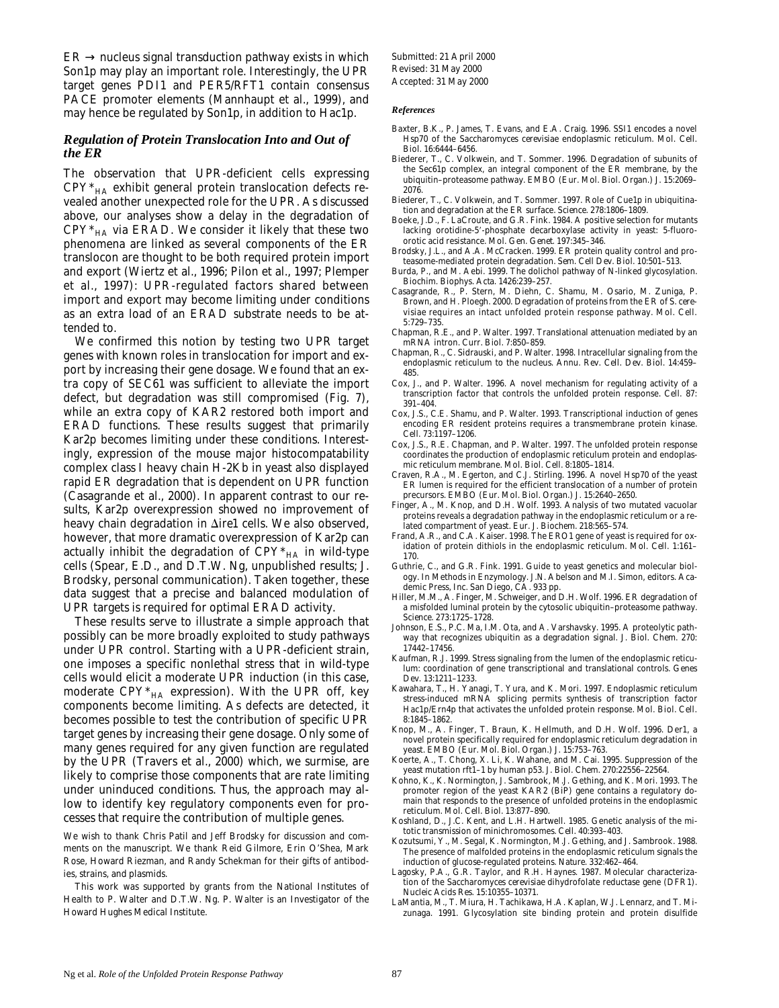$ER \rightarrow$  nucleus signal transduction pathway exists in which Son1p may play an important role. Interestingly, the UPR target genes *PDI1* and *PER5/RFT1* contain consensus PACE promoter elements (Mannhaupt et al., 1999), and may hence be regulated by Son1p, in addition to Hac1p.

#### *Regulation of Protein Translocation Into and Out of the ER*

The observation that UPR-deficient cells expressing CPY\*HA exhibit general protein translocation defects revealed another unexpected role for the UPR. As discussed above, our analyses show a delay in the degradation of  $CPY^*_{HA}$  via ERAD. We consider it likely that these two phenomena are linked as several components of the ER translocon are thought to be both required protein import and export (Wiertz et al., 1996; Pilon et al., 1997; Plemper et al., 1997): UPR-regulated factors shared between import and export may become limiting under conditions as an extra load of an ERAD substrate needs to be attended to.

We confirmed this notion by testing two UPR target genes with known roles in translocation for import and export by increasing their gene dosage. We found that an extra copy of *SEC61* was sufficient to alleviate the import defect, but degradation was still compromised (Fig. 7), while an extra copy of *KAR2* restored both import and ERAD functions. These results suggest that primarily Kar2p becomes limiting under these conditions. Interestingly, expression of the mouse major histocompatability complex class I heavy chain H-2Kb in yeast also displayed rapid ER degradation that is dependent on UPR function (Casagrande et al., 2000). In apparent contrast to our results, Kar2p overexpression showed no improvement of heavy chain degradation in Δire1 cells. We also observed, however, that more dramatic overexpression of Kar2p can actually inhibit the degradation of  $CPY^*_{HA}$  in wild-type cells (Spear, E.D., and D.T.W. Ng, unpublished results; J. Brodsky, personal communication). Taken together, these data suggest that a precise and balanced modulation of UPR targets is required for optimal ERAD activity.

These results serve to illustrate a simple approach that possibly can be more broadly exploited to study pathways under UPR control. Starting with a UPR-deficient strain, one imposes a specific nonlethal stress that in wild-type cells would elicit a moderate UPR induction (in this case, moderate  $\mathrm{CPY^*_{HA}}$  expression). With the UPR off, key components become limiting. As defects are detected, it becomes possible to test the contribution of specific UPR target genes by increasing their gene dosage. Only some of many genes required for any given function are regulated by the UPR (Travers et al., 2000) which, we surmise, are likely to comprise those components that are rate limiting under uninduced conditions. Thus, the approach may allow to identify key regulatory components even for processes that require the contribution of multiple genes.

We wish to thank Chris Patil and Jeff Brodsky for discussion and comments on the manuscript. We thank Reid Gilmore, Erin O'Shea, Mark Rose, Howard Riezman, and Randy Schekman for their gifts of antibodies, strains, and plasmids.

This work was supported by grants from the National Institutes of Health to P. Walter and D.T.W. Ng. P. Walter is an Investigator of the Howard Hughes Medical Institute.

Submitted: 21 April 2000 Revised: 31 May 2000 Accepted: 31 May 2000

#### *References*

- Baxter, B.K., P. James, T. Evans, and E.A. Craig. 1996. *SSI1* encodes a novel Hsp70 of the *Saccharomyces cerevisiae* endoplasmic reticulum. *Mol. Cell. Biol.* 16:6444–6456.
- Biederer, T., C. Volkwein, and T. Sommer. 1996. Degradation of subunits of the Sec61p complex, an integral component of the ER membrane, by the ubiquitin–proteasome pathway. *EMBO (Eur. Mol. Biol. Organ.) J*. 15:2069– 2076.
- Biederer, T., C. Volkwein, and T. Sommer. 1997. Role of Cue1p in ubiquitination and degradation at the ER surface. *Science.* 278:1806–1809.
- Boeke, J.D., F. LaCroute, and G.R. Fink. 1984. A positive selection for mutants lacking orotidine-5'-phosphate decarboxylase activity in yeast: 5-fluoroorotic acid resistance. *Mol. Gen. Genet.* 197:345–346.
- Brodsky, J.L., and A.A. McCracken. 1999. ER protein quality control and proteasome-mediated protein degradation. *Sem. Cell Dev. Biol.* 10:501–513.
- Burda, P., and M. Aebi. 1999. The dolichol pathway of N-linked glycosylation. *Biochim. Biophys. Acta.* 1426:239–257.
- Casagrande, R., P. Stern, M. Diehn, C. Shamu, M. Osario, M. Zuniga, P. Brown, and H. Ploegh. 2000. Degradation of proteins from the ER of *S. cerevisiae* requires an intact unfolded protein response pathway. *Mol. Cell.* 5:729–735.
- Chapman, R.E., and P. Walter. 1997. Translational attenuation mediated by an mRNA intron. *Curr. Biol.* 7:850–859.
- Chapman, R., C. Sidrauski, and P. Walter. 1998. Intracellular signaling from the endoplasmic reticulum to the nucleus. *Annu. Rev. Cell. Dev. Biol.* 14:459– 485.
- Cox, J., and P. Walter. 1996. A novel mechanism for regulating activity of a transcription factor that controls the unfolded protein response. *Cell.* 87: 391–404.
- Cox, J.S., C.E. Shamu, and P. Walter. 1993. Transcriptional induction of genes encoding ER resident proteins requires a transmembrane protein kinase. *Cell.* 73:1197–1206.
- Cox, J.S., R.E. Chapman, and P. Walter. 1997. The unfolded protein response coordinates the production of endoplasmic reticulum protein and endoplasmic reticulum membrane. *Mol. Biol. Cell.* 8:1805–1814.
- Craven, R.A., M. Egerton, and C.J. Stirling. 1996. A novel Hsp70 of the yeast ER lumen is required for the efficient translocation of a number of protein precursors. *EMBO (Eur. Mol. Biol. Organ.) J*. 15:2640–2650.
- Finger, A., M. Knop, and D.H. Wolf. 1993. Analysis of two mutated vacuolar proteins reveals a degradation pathway in the endoplasmic reticulum or a related compartment of yeast. *Eur. J. Biochem.* 218:565–574.
- Frand, A.R., and C.A. Kaiser. 1998. The *ERO1* gene of yeast is required for oxidation of protein dithiols in the endoplasmic reticulum. *Mol. Cell.* 1:161– 170.
- Guthrie, C., and G.R. Fink. 1991. Guide to yeast genetics and molecular biology. *In* Methods in Enzymology. J.N. Abelson and M.I. Simon, editors. Academic Press, Inc. San Diego, CA. 933 pp.
- Hiller, M.M., A. Finger, M. Schweiger, and D.H. Wolf. 1996. ER degradation of a misfolded luminal protein by the cytosolic ubiquitin–proteasome pathway. *Science.* 273:1725–1728.
- Johnson, E.S., P.C. Ma, I.M. Ota, and A. Varshavsky. 1995. A proteolytic pathway that recognizes ubiquitin as a degradation signal. *J. Biol. Chem.* 270: 17442–17456.
- Kaufman, R.J. 1999. Stress signaling from the lumen of the endoplasmic reticulum: coordination of gene transcriptional and translational controls. *Genes Dev.* 13:1211–1233.
- Kawahara, T., H. Yanagi, T. Yura, and K. Mori. 1997. Endoplasmic reticulum stress-induced mRNA splicing permits synthesis of transcription factor Hac1p/Ern4p that activates the unfolded protein response. *Mol. Biol. Cell.* 8:1845–1862.
- Knop, M., A. Finger, T. Braun, K. Hellmuth, and D.H. Wolf. 1996. Der1, a novel protein specifically required for endoplasmic reticulum degradation in yeast. *EMBO (Eur. Mol. Biol. Organ.) J*. 15:753–763.
- Koerte, A., T. Chong, X. Li, K. Wahane, and M. Cai. 1995. Suppression of the yeast mutation rft1–1 by human p53. *J. Biol. Chem.* 270:22556–22564.
- Kohno, K., K. Normington, J. Sambrook, M.J. Gething, and K. Mori. 1993. The promoter region of the yeast KAR2 (BiP) gene contains a regulatory domain that responds to the presence of unfolded proteins in the endoplasmic reticulum. *Mol. Cell. Biol.* 13:877–890.
- Koshland, D., J.C. Kent, and L.H. Hartwell. 1985. Genetic analysis of the mitotic transmission of minichromosomes. *Cell.* 40:393–403.
- Kozutsumi, Y., M. Segal, K. Normington, M.J. Gething, and J. Sambrook. 1988. The presence of malfolded proteins in the endoplasmic reticulum signals the induction of glucose-regulated proteins. *Nature.* 332:462–464.
- Lagosky, P.A., G.R. Taylor, and R.H. Haynes. 1987. Molecular characterization of the *Saccharomyces cerevisiae* dihydrofolate reductase gene (DFR1). *Nucleic Acids Res.* 15:10355–10371.
- LaMantia, M., T. Miura, H. Tachikawa, H.A. Kaplan, W.J. Lennarz, and T. Mizunaga. 1991. Glycosylation site binding protein and protein disulfide